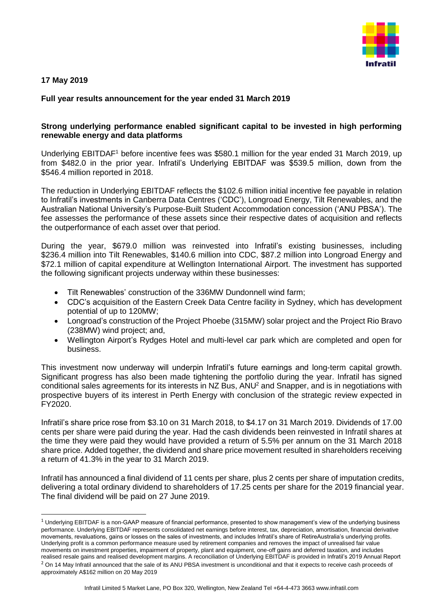

## **17 May 2019**

-

## **Full year results announcement for the year ended 31 March 2019**

## **Strong underlying performance enabled significant capital to be invested in high performing renewable energy and data platforms**

Underlying EBITDAF<sup>1</sup> before incentive fees was \$580.1 million for the year ended 31 March 2019, up from \$482.0 in the prior year. Infratil's Underlying EBITDAF was \$539.5 million, down from the \$546.4 million reported in 2018.

The reduction in Underlying EBITDAF reflects the \$102.6 million initial incentive fee payable in relation to Infratil's investments in Canberra Data Centres ('CDC'), Longroad Energy, Tilt Renewables, and the Australian National University's Purpose-Built Student Accommodation concession ('ANU PBSA'). The fee assesses the performance of these assets since their respective dates of acquisition and reflects the outperformance of each asset over that period.

During the year, \$679.0 million was reinvested into Infratil's existing businesses, including \$236.4 million into Tilt Renewables, \$140.6 million into CDC, \$87.2 million into Longroad Energy and \$72.1 million of capital expenditure at Wellington International Airport. The investment has supported the following significant projects underway within these businesses:

- Tilt Renewables' construction of the 336MW Dundonnell wind farm;
- CDC's acquisition of the Eastern Creek Data Centre facility in Sydney, which has development potential of up to 120MW;
- Longroad's construction of the Project Phoebe (315MW) solar project and the Project Rio Bravo (238MW) wind project; and,
- Wellington Airport's Rydges Hotel and multi-level car park which are completed and open for business.

This investment now underway will underpin Infratil's future earnings and long-term capital growth. Significant progress has also been made tightening the portfolio during the year. Infratil has signed conditional sales agreements for its interests in NZ Bus, ANU<sup>2</sup> and Snapper, and is in negotiations with prospective buyers of its interest in Perth Energy with conclusion of the strategic review expected in FY2020.

Infratil's share price rose from \$3.10 on 31 March 2018, to \$4.17 on 31 March 2019. Dividends of 17.00 cents per share were paid during the year. Had the cash dividends been reinvested in Infratil shares at the time they were paid they would have provided a return of 5.5% per annum on the 31 March 2018 share price. Added together, the dividend and share price movement resulted in shareholders receiving a return of 41.3% in the year to 31 March 2019.

Infratil has announced a final dividend of 11 cents per share, plus 2 cents per share of imputation credits, delivering a total ordinary dividend to shareholders of 17.25 cents per share for the 2019 financial year. The final dividend will be paid on 27 June 2019.

 $1$  Underlying EBITDAF is a non-GAAP measure of financial performance, presented to show management's view of the underlying business performance. Underlying EBITDAF represents consolidated net earnings before interest, tax, depreciation, amortisation, financial derivative movements, revaluations, gains or losses on the sales of investments, and includes Infratil's share of RetireAustralia's underlying profits. Underlying profit is a common performance measure used by retirement companies and removes the impact of unrealised fair value movements on investment properties, impairment of property, plant and equipment, one-off gains and deferred taxation, and includes realised resale gains and realised development margins. A reconciliation of Underlying EBITDAF is provided in Infratil's 2019 Annual Report  $<sup>2</sup>$  On 14 May Infratil announced that the sale of its ANU PBSA investment is unconditional and that it expects to receive cash proceeds of</sup> approximately A\$162 million on 20 May 2019